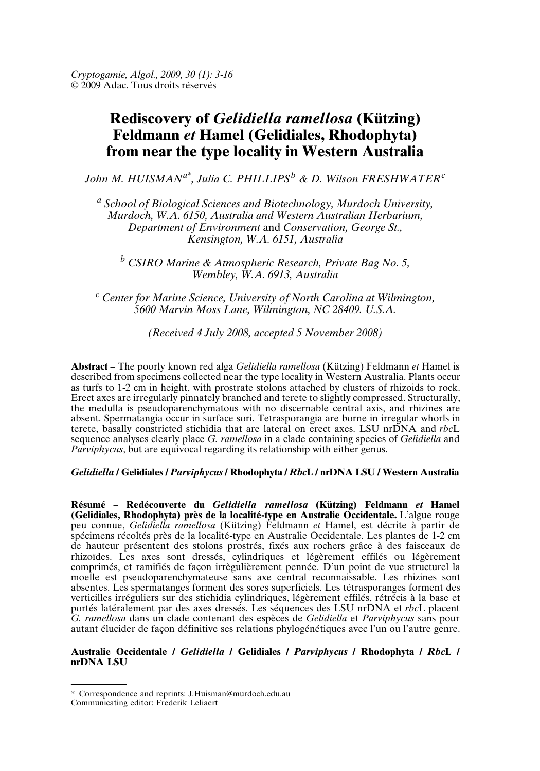# **Rediscovery of** *Gelidiella ramellosa* **(Kützing) Feldmann** *et* **Hamel (Gelidiales, Rhodophyta) from near the type locality in Western Australia**

*John M. HUISMANa\*, Julia C. PHILLIPS<sup>b</sup> & D. Wilson FRESHWATER<sup>c</sup>*

*<sup>a</sup> School of Biological Sciences and Biotechnology, Murdoch University, Murdoch, W.A. 6150, Australia and Western Australian Herbarium, Department of Environment* and *Conservation, George St., Kensington, W.A. 6151, Australia*

*<sup>b</sup> CSIRO Marine & Atmospheric Research, Private Bag No. 5, Wembley, W.A. 6913, Australia*

*<sup>c</sup> Center for Marine Science, University of North Carolina at Wilmington, 5600 Marvin Moss Lane, Wilmington, NC 28409. U.S.A.*

*(Received 4 July 2008, accepted 5 November 2008)*

**Abstract** – The poorly known red alga *Gelidiella ramellosa* (Kützing) Feldmann *et* Hamel is described from specimens collected near the type locality in Western Australia. Plants occur as turfs to 1-2 cm in height, with prostrate stolons attached by clusters of rhizoids to rock. Erect axes are irregularly pinnately branched and terete to slightly compressed. Structurally, the medulla is pseudoparenchymatous with no discernable central axis, and rhizines are absent. Spermatangia occur in surface sori. Tetrasporangia are borne in irregular whorls in terete, basally constricted stichidia that are lateral on erect axes. LSU nrDNA and *rbc*L sequence analyses clearly place *G. ramellosa* in a clade containing species of *Gelidiella* and *Parviphycus*, but are equivocal regarding its relationship with either genus.

## *Gelidiella* **/ Gelidiales /** *Parviphycus* **/ Rhodophyta /** *Rbc***L / nrDNA LSU / Western Australia**

**Résumé** – **Redécouverte du** *Gelidiella ramellosa* **(Kützing) Feldmann** *et* **Hamel (Gelidiales, Rhodophyta) près de la localité-type en Australie Occidentale.** L'algue rouge peu connue, *Gelidiella ramellosa* (Kützing) Feldmann *et* Hamel, est décrite à partir de spécimens récoltés près de la localité-type en Australie Occidentale. Les plantes de 1-2 cm de hauteur présentent des stolons prostrés, fixés aux rochers grâce à des faisceaux de rhizoïdes. Les axes sont dressés, cylindriques et légèrement effilés ou légèrement comprimés, et ramifiés de façon irrègulièrement pennée. D'un point de vue structurel la moelle est pseudoparenchymateuse sans axe central reconnaissable. Les rhizines sont absentes. Les spermatanges forment des sores superficiels. Les tétrasporanges forment des verticilles irréguliers sur des stichidia cylindriques, légèrement effilés, rétrécis à la base et portés latéralement par des axes dressés. Les séquences des LSU nrDNA et *rbc*L placent *G. ramellosa* dans un clade contenant des espèces de *Gelidiella* et *Parviphycus* sans pour autant élucider de façon définitive ses relations phylogénétiques avec l'un ou l'autre genre.

#### **Australie Occidentale /** *Gelidiella* **/ Gelidiales /** *Parviphycus* **/ Rhodophyta /** *Rbc***L / nrDNA LSU**

<sup>\*</sup> Correspondence and reprints: J.Huisman@murdoch.edu.au

Communicating editor: Frederik Leliaert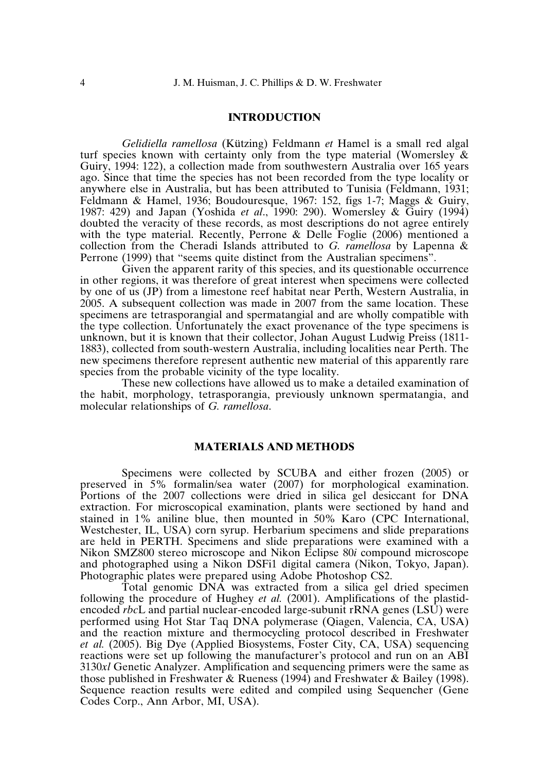## **INTRODUCTION**

*Gelidiella ramellosa* (Kützing) Feldmann *et* Hamel is a small red algal turf species known with certainty only from the type material (Womersley  $\&$ Guiry, 1994: 122), a collection made from southwestern Australia over 165 years ago. Since that time the species has not been recorded from the type locality or anywhere else in Australia, but has been attributed to Tunisia (Feldmann, 1931; Feldmann & Hamel, 1936; Boudouresque, 1967: 152, figs 1-7; Maggs & Guiry, 1987: 429) and Japan (Yoshida *et al*., 1990: 290). Womersley & Guiry (1994) doubted the veracity of these records, as most descriptions do not agree entirely with the type material. Recently, Perrone & Delle Foglie (2006) mentioned a collection from the Cheradi Islands attributed to *G. ramellosa* by Lapenna & Perrone (1999) that "seems quite distinct from the Australian specimens".

Given the apparent rarity of this species, and its questionable occurrence in other regions, it was therefore of great interest when specimens were collected by one of us (JP) from a limestone reef habitat near Perth, Western Australia, in 2005. A subsequent collection was made in 2007 from the same location. These specimens are tetrasporangial and spermatangial and are wholly compatible with the type collection. Unfortunately the exact provenance of the type specimens is unknown, but it is known that their collector, Johan August Ludwig Preiss (1811- 1883), collected from south-western Australia, including localities near Perth. The new specimens therefore represent authentic new material of this apparently rare species from the probable vicinity of the type locality.

These new collections have allowed us to make a detailed examination of the habit, morphology, tetrasporangia, previously unknown spermatangia, and molecular relationships of *G. ramellosa*.

## **MATERIALS AND METHODS**

Specimens were collected by SCUBA and either frozen (2005) or preserved in 5% formalin/sea water (2007) for morphological examination. Portions of the 2007 collections were dried in silica gel desiccant for DNA extraction. For microscopical examination, plants were sectioned by hand and stained in 1% aniline blue, then mounted in 50% Karo (CPC International, Westchester, IL, USA) corn syrup. Herbarium specimens and slide preparations are held in PERTH. Specimens and slide preparations were examined with a Nikon SMZ800 stereo microscope and Nikon Eclipse 80*i* compound microscope and photographed using a Nikon DSFi1 digital camera (Nikon, Tokyo, Japan). Photographic plates were prepared using Adobe Photoshop CS2.

Total genomic DNA was extracted from a silica gel dried specimen following the procedure of Hughey *et al.* (2001). Amplifications of the plastidencoded *rbc*L and partial nuclear-encoded large-subunit rRNA genes (LSU) were performed using Hot Star Taq DNA polymerase (Qiagen, Valencia, CA, USA) and the reaction mixture and thermocycling protocol described in Freshwater *et al.* (2005). Big Dye (Applied Biosystems, Foster City, CA, USA) sequencing reactions were set up following the manufacturer's protocol and run on an ABI 3130*xl* Genetic Analyzer. Amplification and sequencing primers were the same as those published in Freshwater & Rueness (1994) and Freshwater & Bailey (1998). Sequence reaction results were edited and compiled using Sequencher (Gene Codes Corp., Ann Arbor, MI, USA).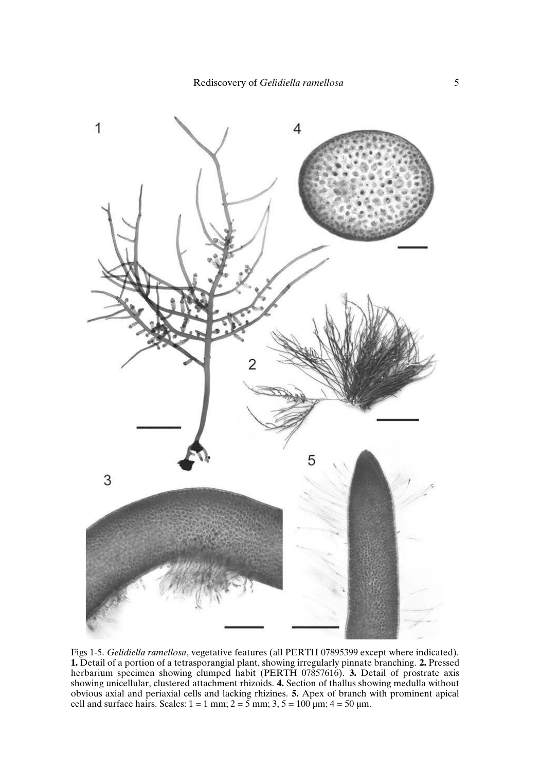

Figs 1-5. *Gelidiella ramellosa*, vegetative features (all PERTH 07895399 except where indicated). **1.** Detail of a portion of a tetrasporangial plant, showing irregularly pinnate branching. **2.** Pressed herbarium specimen showing clumped habit (PERTH 07857616). **3.** Detail of prostrate axis showing unicellular, clustered attachment rhizoids. **4.** Section of thallus showing medulla without obvious axial and periaxial cells and lacking rhizines. **5.** Apex of branch with prominent apical cell and surface hairs. Scales:  $1 = 1$  mm;  $2 = 5$  mm;  $3, 5 = 100$  µm;  $4 = 50$  µm.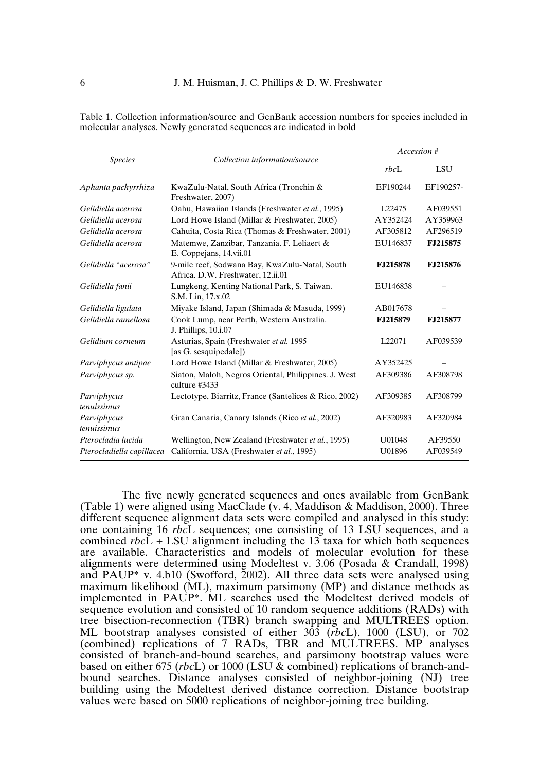| <b>Species</b>             | Collection information/source                                                       | Accession #     |                 |
|----------------------------|-------------------------------------------------------------------------------------|-----------------|-----------------|
|                            |                                                                                     | rbcL            | LSU             |
| Aphanta pachyrrhiza        | KwaZulu-Natal, South Africa (Tronchin &<br>Freshwater, 2007)                        | EF190244        | EF190257-       |
| Gelidiella acerosa         | Oahu, Hawaiian Islands (Freshwater et al., 1995)                                    | L22475          | AF039551        |
| Gelidiella acerosa         | Lord Howe Island (Millar & Freshwater, 2005)                                        | AY352424        | AY359963        |
| Gelidiella acerosa         | Cahuita, Costa Rica (Thomas & Freshwater, 2001)                                     | AF305812        | AF296519        |
| Gelidiella acerosa         | Matemwe, Zanzibar, Tanzania. F. Leliaert &<br>E. Coppejans, 14.vii.01               | EU146837        | FJ215875        |
| Gelidiella "acerosa"       | 9-mile reef, Sodwana Bay, KwaZulu-Natal, South<br>Africa. D.W. Freshwater, 12.ii.01 | <b>FJ215878</b> | <b>FJ215876</b> |
| Gelidiella fanii           | Lungkeng, Kenting National Park, S. Taiwan.<br>S.M. Lin, 17.x.02                    | EU146838        |                 |
| Gelidiella ligulata        | Miyake Island, Japan (Shimada & Masuda, 1999)                                       | AB017678        |                 |
| Gelidiella ramellosa       | Cook Lump, near Perth, Western Australia.<br>J. Phillips, 10.i.07                   | FJ215879        | FJ215877        |
| Gelidium corneum           | Asturias, Spain (Freshwater et al. 1995<br>[as G. sesquipedale])                    | L22071          | AF039539        |
| Parviphycus antipae        | Lord Howe Island (Millar & Freshwater, 2005)                                        | AY352425        |                 |
| Parviphycus sp.            | Siaton, Maloh, Negros Oriental, Philippines. J. West<br>culture #3433               | AF309386        | AF308798        |
| Parviphycus<br>tenuissimus | Lectotype, Biarritz, France (Santelices & Rico, 2002)                               | AF309385        | AF308799        |
| Parviphycus<br>tenuissimus | Gran Canaria, Canary Islands (Rico et al., 2002)                                    | AF320983        | AF320984        |
| Pterocladia lucida         | Wellington, New Zealand (Freshwater et al., 1995)                                   | U01048          | AF39550         |
| Pterocladiella capillacea  | California, USA (Freshwater et al., 1995)                                           | U01896          | AF039549        |

Table 1. Collection information/source and GenBank accession numbers for species included in molecular analyses. Newly generated sequences are indicated in bold

The five newly generated sequences and ones available from GenBank (Table 1) were aligned using MacClade (v. 4, Maddison & Maddison, 2000). Three different sequence alignment data sets were compiled and analysed in this study: one containing 16 *rbc*L sequences; one consisting of 13 LSU sequences, and a combined  $rbc\bar{L}$  + LSU alignment including the 13 taxa for which both sequences are available. Characteristics and models of molecular evolution for these alignments were determined using Modeltest v. 3.06 (Posada & Crandall, 1998) and PAUP\* v. 4.b10 (Swofford, 2002). All three data sets were analysed using maximum likelihood (ML), maximum parsimony (MP) and distance methods as implemented in PAUP\*. ML searches used the Modeltest derived models of sequence evolution and consisted of 10 random sequence additions (RADs) with tree bisection-reconnection (TBR) branch swapping and MULTREES option. ML bootstrap analyses consisted of either 303 (*rbc*L), 1000 (LSU), or 702 (combined) replications of 7 RADs, TBR and MULTREES. MP analyses consisted of branch-and-bound searches, and parsimony bootstrap values were based on either 675 (*rbc*L) or 1000 (LSU & combined) replications of branch-andbound searches. Distance analyses consisted of neighbor-joining (NJ) tree building using the Modeltest derived distance correction. Distance bootstrap values were based on 5000 replications of neighbor-joining tree building.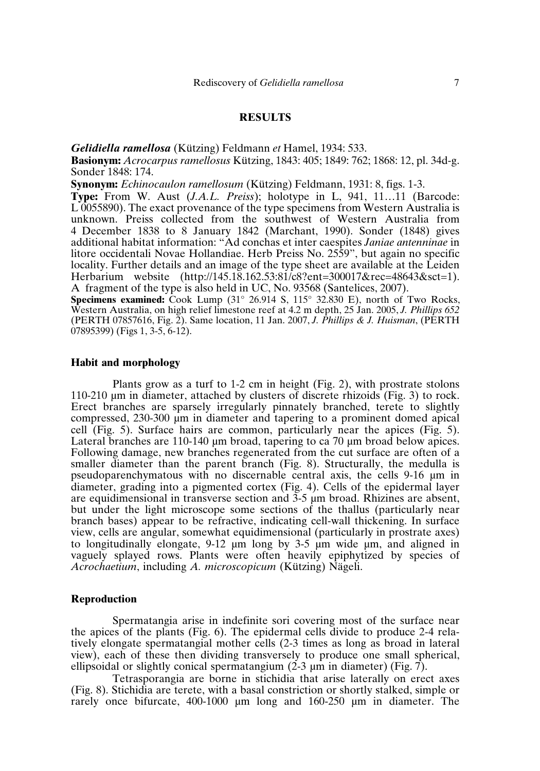## **RESULTS**

*Gelidiella ramellosa* (Kützing) Feldmann *et* Hamel, 1934: 533. **Basionym:** *Acrocarpus ramellosus* Kützing, 1843: 405; 1849: 762; 1868: 12, pl. 34d-g. Sonder 1848: 174.

**Synonym:** *Echinocaulon ramellosum* (Kützing) Feldmann, 1931: 8, figs. 1-3.

**Type:** From W. Aust (*J.A.L. Preiss*); holotype in L, 941, 11…11 (Barcode: L 0055890). The exact provenance of the type specimens from Western Australia is unknown. Preiss collected from the southwest of Western Australia from 4 December 1838 to 8 January 1842 (Marchant, 1990). Sonder (1848) gives additional habitat information: "Ad conchas et inter caespites *Janiae antenninae* in litore occidentali Novae Hollandiae. Herb Preiss No. 2559", but again no specific locality. Further details and an image of the type sheet are available at the Leiden Herbarium website (http://145.18.162.53:81/c8?ent=300017&rec=48643&sct=1). A fragment of the type is also held in UC, No. 93568 (Santelices, 2007).

**Specimens examined:** Cook Lump (31° 26.914 S, 115° 32.830 E), north of Two Rocks, Western Australia, on high relief limestone reef at 4.2 m depth, 25 Jan. 2005, *J. Phillips 652* (PERTH 07857616, Fig. 2). Same location, 11 Jan. 2007, *J. Phillips & J. Huisman*, (PERTH 07895399) (Figs 1, 3-5, 6-12).

#### **Habit and morphology**

Plants grow as a turf to 1-2 cm in height (Fig. 2), with prostrate stolons 110-210 µm in diameter, attached by clusters of discrete rhizoids (Fig. 3) to rock. Erect branches are sparsely irregularly pinnately branched, terete to slightly compressed, 230-300 µm in diameter and tapering to a prominent domed apical cell (Fig. 5). Surface hairs are common, particularly near the apices (Fig. 5). Lateral branches are 110-140 µm broad, tapering to ca 70 µm broad below apices. Following damage, new branches regenerated from the cut surface are often of a smaller diameter than the parent branch (Fig. 8). Structurally, the medulla is pseudoparenchymatous with no discernable central axis, the cells 9-16 µm in diameter, grading into a pigmented cortex (Fig. 4). Cells of the epidermal layer are equidimensional in transverse section and  $3-5$  µm broad. Rhizines are absent, but under the light microscope some sections of the thallus (particularly near branch bases) appear to be refractive, indicating cell-wall thickening. In surface view, cells are angular, somewhat equidimensional (particularly in prostrate axes) to longitudinally elongate, 9-12 µm long by 3-5 µm wide µm, and aligned in vaguely splayed rows. Plants were often heavily epiphytized by species of *Acrochaetium*, including *A. microscopicum* (Kützing) Nägeli.

## **Reproduction**

Spermatangia arise in indefinite sori covering most of the surface near the apices of the plants (Fig. 6). The epidermal cells divide to produce 2-4 relatively elongate spermatangial mother cells (2-3 times as long as broad in lateral view), each of these then dividing transversely to produce one small spherical, ellipsoidal or slightly conical spermatangium  $(2-3 \mu \text{m})$  in diameter) (Fig. 7).

Tetrasporangia are borne in stichidia that arise laterally on erect axes (Fig. 8). Stichidia are terete, with a basal constriction or shortly stalked, simple or rarely once bifurcate, 400-1000 µm long and 160-250 µm in diameter. The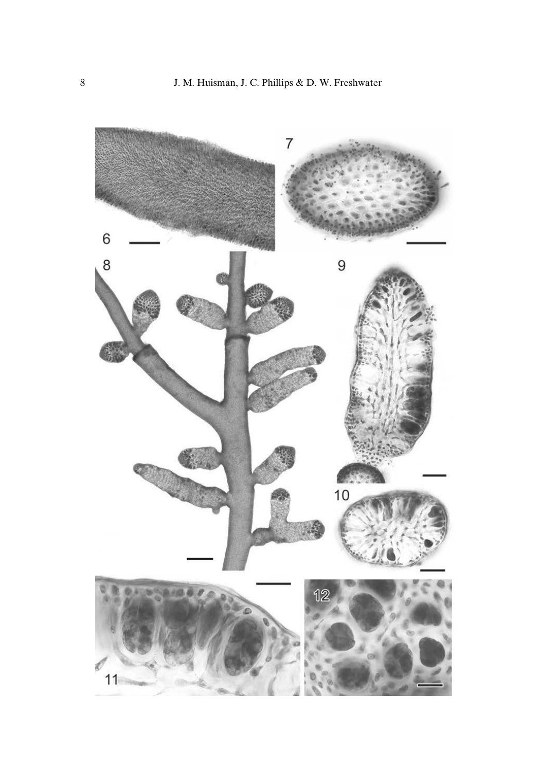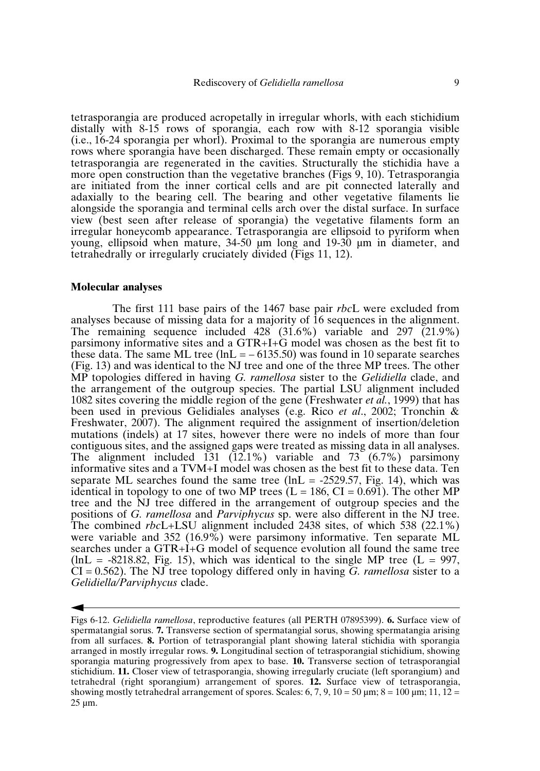tetrasporangia are produced acropetally in irregular whorls, with each stichidium distally with 8-15 rows of sporangia, each row with 8-12 sporangia visible (i.e., 16-24 sporangia per whorl). Proximal to the sporangia are numerous empty rows where sporangia have been discharged. These remain empty or occasionally tetrasporangia are regenerated in the cavities. Structurally the stichidia have a more open construction than the vegetative branches (Figs 9, 10). Tetrasporangia are initiated from the inner cortical cells and are pit connected laterally and adaxially to the bearing cell. The bearing and other vegetative filaments lie alongside the sporangia and terminal cells arch over the distal surface. In surface view (best seen after release of sporangia) the vegetative filaments form an irregular honeycomb appearance. Tetrasporangia are ellipsoid to pyriform when young, ellipsoid when mature, 34-50 µm long and 19-30 µm in diameter, and tetrahedrally or irregularly cruciately divided (Figs 11, 12).

#### **Molecular analyses**

The first 111 base pairs of the 1467 base pair *rbc*L were excluded from analyses because of missing data for a majority of 16 sequences in the alignment. The remaining sequence included 428 (31.6%) variable and 297 (21.9%) parsimony informative sites and a GTR+I+G model was chosen as the best fit to these data. The same ML tree (lnL =  $-6135.50$ ) was found in 10 separate searches (Fig. 13) and was identical to the NJ tree and one of the three MP trees. The other MP topologies differed in having *G. ramellosa* sister to the *Gelidiella* clade, and the arrangement of the outgroup species. The partial LSU alignment included 1082 sites covering the middle region of the gene (Freshwater *et al.*, 1999) that has been used in previous Gelidiales analyses (e.g. Rico *et al*., 2002; Tronchin & Freshwater, 2007). The alignment required the assignment of insertion/deletion mutations (indels) at 17 sites, however there were no indels of more than four contiguous sites, and the assigned gaps were treated as missing data in all analyses. The alignment included 131 (12.1%) variable and  $73(6.7%)$  parsimony informative sites and a TVM+I model was chosen as the best fit to these data. Ten separate ML searches found the same tree ( $ln L = -2529.57$ , Fig. 14), which was identical in topology to one of two MP trees  $(L = 186, CI = 0.691)$ . The other MP tree and the NJ tree differed in the arrangement of outgroup species and the positions of *G. ramellosa* and *Parviphycus* sp. were also different in the NJ tree. The combined *rbc*L+LSU alignment included 2438 sites, of which 538 (22.1%) were variable and 352 (16.9%) were parsimony informative. Ten separate ML searches under a GTR+I+G model of sequence evolution all found the same tree  $(hL = -8218.82, Fig. 15)$ , which was identical to the single MP tree  $(L = 997,$ CI = 0.562). The NJ tree topology differed only in having *G. ramellosa* sister to a *Gelidiella/Parviphycus* clade.

Figs 6-12. *Gelidiella ramellosa*, reproductive features (all PERTH 07895399). **6.** Surface view of spermatangial sorus. **7.** Transverse section of spermatangial sorus, showing spermatangia arising from all surfaces. **8.** Portion of tetrasporangial plant showing lateral stichidia with sporangia arranged in mostly irregular rows. **9.** Longitudinal section of tetrasporangial stichidium, showing sporangia maturing progressively from apex to base. **10.** Transverse section of tetrasporangial stichidium. **11.** Closer view of tetrasporangia, showing irregularly cruciate (left sporangium) and tetrahedral (right sporangium) arrangement of spores. **12.** Surface view of tetrasporangia, showing mostly tetrahedral arrangement of spores. Scales: 6, 7, 9,  $10 = 50 \text{ µm}; 8 = 100 \text{ µm}; 11, 12 =$ 25 µm.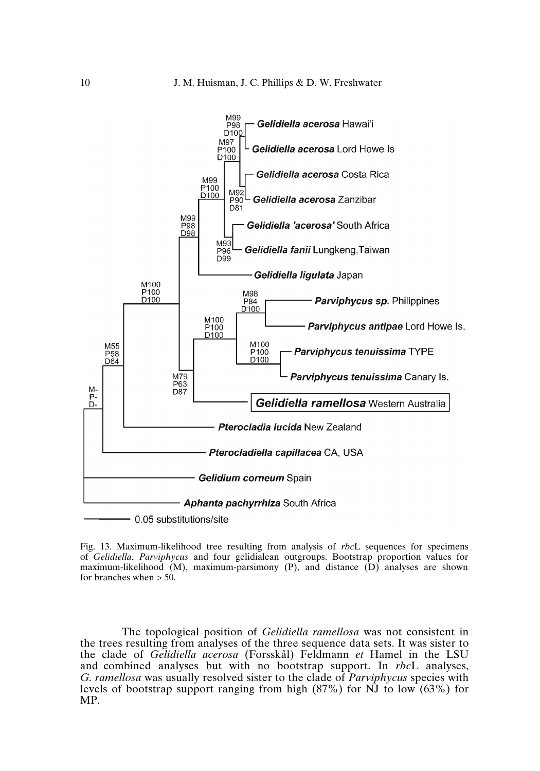

Fig. 13. Maximum-likelihood tree resulting from analysis of *rbc*L sequences for specimens of *Gelidiella*, *Parviphycus* and four gelidialean outgroups. Bootstrap proportion values for maximum-likelihood (M), maximum-parsimony (P), and distance (D) analyses are shown for branches when  $> 50$ .

The topological position of *Gelidiella ramellosa* was not consistent in the trees resulting from analyses of the three sequence data sets. It was sister to the clade of *Gelidiella acerosa* (Forsskål) Feldmann *et* Hamel in the LSU and combined analyses but with no bootstrap support. In *rbc*L analyses, *G. ramellosa* was usually resolved sister to the clade of *Parviphycus* species with levels of bootstrap support ranging from high (87%) for NJ to low (63%) for MP.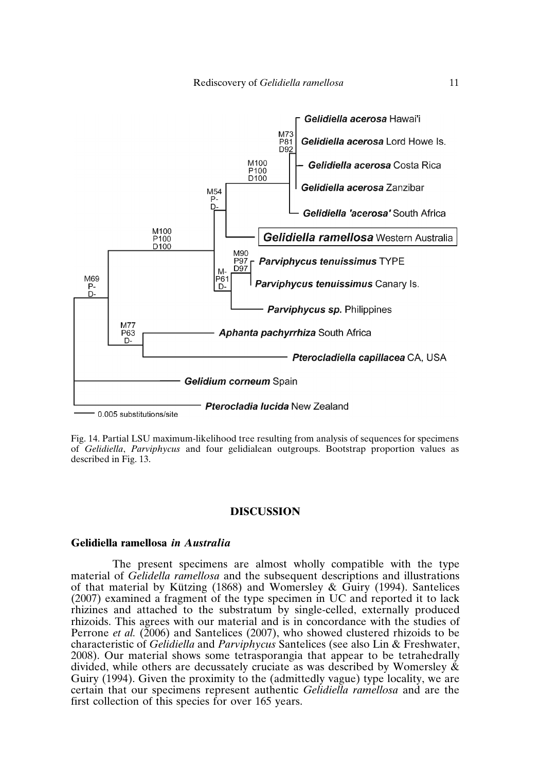

Fig. 14. Partial LSU maximum-likelihood tree resulting from analysis of sequences for specimens of *Gelidiella*, *Parviphycus* and four gelidialean outgroups. Bootstrap proportion values as described in Fig. 13.

## **DISCUSSION**

#### **Gelidiella ramellosa** *in Australia*

The present specimens are almost wholly compatible with the type material of *Gelidella ramellosa* and the subsequent descriptions and illustrations of that material by Kützing (1868) and Womersley & Guiry (1994). Santelices (2007) examined a fragment of the type specimen in UC and reported it to lack rhizines and attached to the substratum by single-celled, externally produced rhizoids. This agrees with our material and is in concordance with the studies of Perrone *et al.* (2006) and Santelices (2007), who showed clustered rhizoids to be characteristic of *Gelidiella* and *Parviphycus* Santelices (see also Lin & Freshwater, 2008). Our material shows some tetrasporangia that appear to be tetrahedrally divided, while others are decussately cruciate as was described by Womersley & Guiry (1994). Given the proximity to the (admittedly vague) type locality, we are certain that our specimens represent authentic *Gelidiella ramellosa* and are the first collection of this species for over 165 years.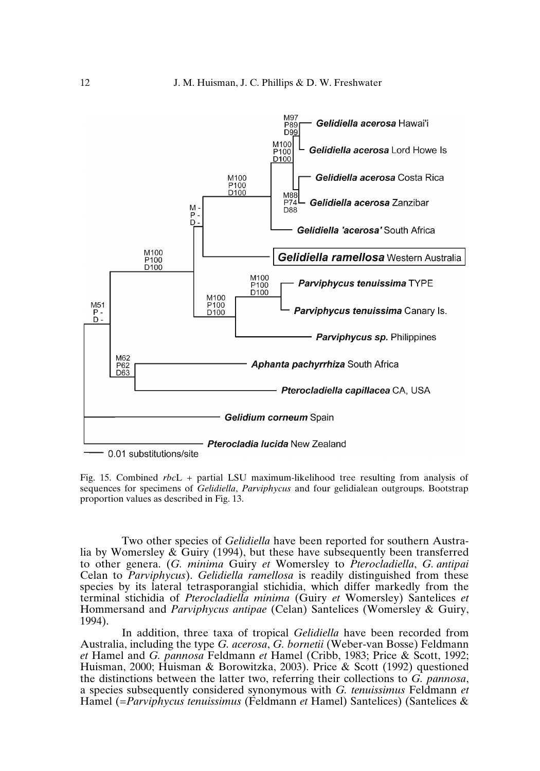

0.01 substitutions/site

Fig. 15. Combined *rbc*L + partial LSU maximum-likelihood tree resulting from analysis of sequences for specimens of *Gelidiella*, *Parviphycus* and four gelidialean outgroups. Bootstrap proportion values as described in Fig. 13.

Two other species of *Gelidiella* have been reported for southern Australia by Womersley & Guiry (1994), but these have subsequently been transferred to other genera. (*G. minima* Guiry *et* Womersley to *Pterocladiella*, *G. antipai* Celan to *Parviphycus*). *Gelidiella ramellosa* is readily distinguished from these species by its lateral tetrasporangial stichidia, which differ markedly from the terminal stichidia of *Pterocladiella minima* (Guiry *et* Womersley) Santelices *et* Hommersand and *Parviphycus antipae* (Celan) Santelices (Womersley & Guiry, 1994).

In addition, three taxa of tropical *Gelidiella* have been recorded from Australia, including the type *G. acerosa*, *G. bornetii* (Weber-van Bosse) Feldmann *et* Hamel and *G. pannosa* Feldmann *et* Hamel (Cribb, 1983; Price & Scott, 1992; Huisman, 2000; Huisman & Borowitzka, 2003). Price & Scott (1992) questioned the distinctions between the latter two, referring their collections to *G. pannosa*, a species subsequently considered synonymous with *G. tenuissimus* Feldmann *et* Hamel (=*Parviphycus tenuissimus* (Feldmann *et* Hamel) Santelices) (Santelices &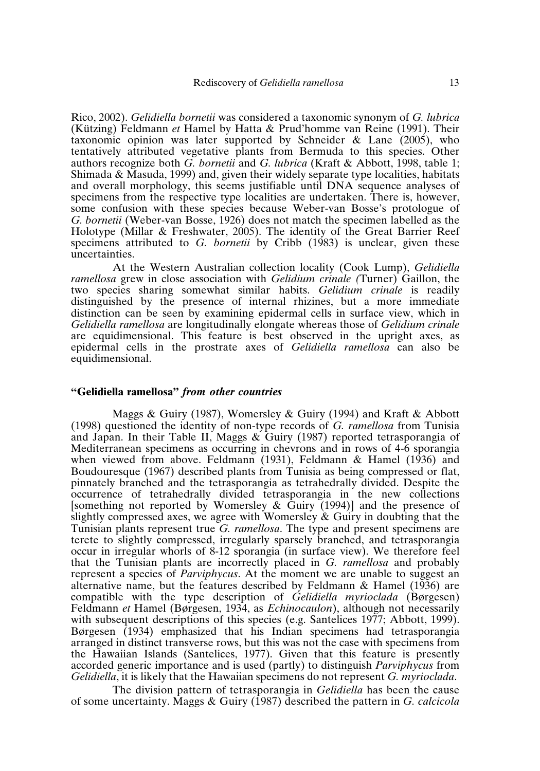Rico, 2002). *Gelidiella bornetii* was considered a taxonomic synonym of *G. lubrica* (Kützing) Feldmann *et* Hamel by Hatta & Prud'homme van Reine (1991). Their taxonomic opinion was later supported by Schneider & Lane (2005), who tentatively attributed vegetative plants from Bermuda to this species. Other authors recognize both *G. bornetii* and *G. lubrica* (Kraft & Abbott, 1998, table 1; Shimada & Masuda, 1999) and, given their widely separate type localities, habitats and overall morphology, this seems justifiable until DNA sequence analyses of specimens from the respective type localities are undertaken. There is, however, some confusion with these species because Weber-van Bosse's protologue of *G. bornetii* (Weber-van Bosse, 1926) does not match the specimen labelled as the Holotype (Millar & Freshwater, 2005). The identity of the Great Barrier Reef specimens attributed to *G. bornetii* by Cribb (1983) is unclear, given these uncertainties.

At the Western Australian collection locality (Cook Lump), *Gelidiella ramellosa* grew in close association with *Gelidium crinale (*Turner) Gaillon, the two species sharing somewhat similar habits. *Gelidium crinale* is readily distinguished by the presence of internal rhizines, but a more immediate distinction can be seen by examining epidermal cells in surface view, which in *Gelidiella ramellosa* are longitudinally elongate whereas those of *Gelidium crinale* are equidimensional. This feature is best observed in the upright axes, as epidermal cells in the prostrate axes of *Gelidiella ramellosa* can also be equidimensional.

#### **"Gelidiella ramellosa"** *from other countries*

Maggs & Guiry (1987), Womersley & Guiry (1994) and Kraft & Abbott (1998) questioned the identity of non-type records of *G. ramellosa* from Tunisia and Japan. In their Table II, Maggs & Guiry (1987) reported tetrasporangia of Mediterranean specimens as occurring in chevrons and in rows of 4-6 sporangia when viewed from above. Feldmann (1931), Feldmann  $\&$  Hamel (1936) and Boudouresque (1967) described plants from Tunisia as being compressed or flat, pinnately branched and the tetrasporangia as tetrahedrally divided. Despite the occurrence of tetrahedrally divided tetrasporangia in the new collections [something not reported by Womersley & Guiry  $(1994)$ ] and the presence of slightly compressed axes, we agree with Womersley & Guiry in doubting that the Tunisian plants represent true *G. ramellosa*. The type and present specimens are terete to slightly compressed, irregularly sparsely branched, and tetrasporangia occur in irregular whorls of 8-12 sporangia (in surface view). We therefore feel that the Tunisian plants are incorrectly placed in *G. ramellosa* and probably represent a species of *Parviphycus*. At the moment we are unable to suggest an alternative name, but the features described by Feldmann & Hamel (1936) are compatible with the type description of *Gelidiella myrioclada* (Børgesen) Feldmann *et* Hamel (Børgesen, 1934, as *Echinocaulon*), although not necessarily with subsequent descriptions of this species (e.g. Santelices 1977; Abbott, 1999). Børgesen (1934) emphasized that his Indian specimens had tetrasporangia arranged in distinct transverse rows, but this was not the case with specimens from the Hawaiian Islands (Santelices, 1977). Given that this feature is presently accorded generic importance and is used (partly) to distinguish *Parviphycus* from *Gelidiella*, it is likely that the Hawaiian specimens do not represent *G. myrioclada*.

The division pattern of tetrasporangia in *Gelidiella* has been the cause of some uncertainty. Maggs & Guiry (1987) described the pattern in *G. calcicola*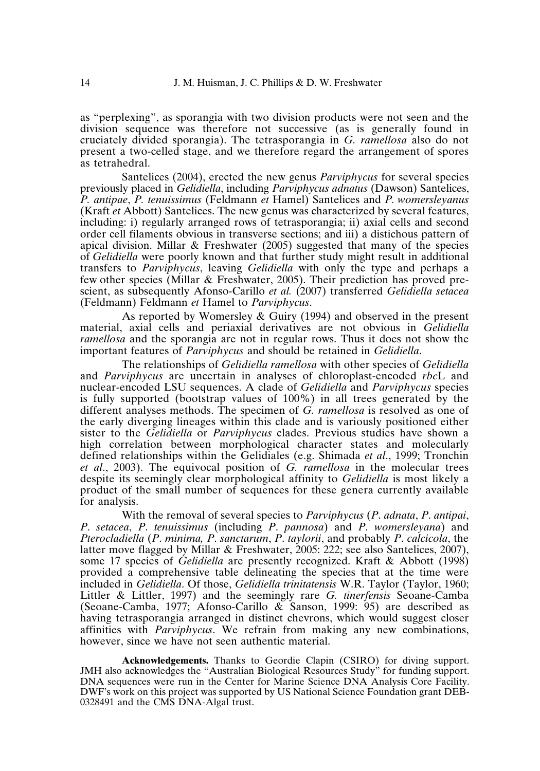as "perplexing", as sporangia with two division products were not seen and the division sequence was therefore not successive (as is generally found in cruciately divided sporangia). The tetrasporangia in *G. ramellosa* also do not present a two-celled stage, and we therefore regard the arrangement of spores as tetrahedral.

Santelices (2004), erected the new genus *Parviphycus* for several species previously placed in *Gelidiella*, including *Parviphycus adnatus* (Dawson) Santelices, *P. antipae*, *P. tenuissimus* (Feldmann *et* Hamel) Santelices and *P. womersleyanus* (Kraft *et* Abbott) Santelices. The new genus was characterized by several features, including: i) regularly arranged rows of tetrasporangia; ii) axial cells and second order cell filaments obvious in transverse sections; and iii) a distichous pattern of apical division. Millar & Freshwater (2005) suggested that many of the species of *Gelidiella* were poorly known and that further study might result in additional transfers to *Parviphycus*, leaving *Gelidiella* with only the type and perhaps a few other species (Millar & Freshwater, 2005). Their prediction has proved prescient, as subsequently Afonso-Carillo *et al.* (2007) transferred *Gelidiella setacea* (Feldmann) Feldmann *et* Hamel to *Parviphycus*.

As reported by Womersley & Guiry (1994) and observed in the present material, axial cells and periaxial derivatives are not obvious in *Gelidiella ramellosa* and the sporangia are not in regular rows. Thus it does not show the important features of *Parviphycus* and should be retained in *Gelidiella*.

The relationships of *Gelidiella ramellosa* with other species of *Gelidiella* and *Parviphycus* are uncertain in analyses of chloroplast-encoded *rbc*L and nuclear-encoded LSU sequences. A clade of *Gelidiella* and *Parviphycus* species is fully supported (bootstrap values of 100%) in all trees generated by the different analyses methods. The specimen of *G. ramellosa* is resolved as one of the early diverging lineages within this clade and is variously positioned either sister to the *Gelidiella* or *Parviphycus* clades. Previous studies have shown a high correlation between morphological character states and molecularly defined relationships within the Gelidiales (e.g. Shimada *et al*., 1999; Tronchin *et al*., 2003). The equivocal position of *G. ramellosa* in the molecular trees despite its seemingly clear morphological affinity to *Gelidiella* is most likely a product of the small number of sequences for these genera currently available for analysis.

With the removal of several species to *Parviphycus* (*P*. *adnata*, *P*. *antipai*, *P*. *setacea*, *P*. *tenuissimus* (including *P*. *pannosa*) and *P*. *womersleyana*) and *Pterocladiella* (*P*. *minima, P*. *sanctarum*, *P*. *taylorii*, and probably *P*. *calcicola*, the latter move flagged by Millar & Freshwater, 2005: 222; see also Santelices, 2007), some 17 species of *Gelidiella* are presently recognized. Kraft & Abbott (1998) provided a comprehensive table delineating the species that at the time were included in *Gelidiella*. Of those, *Gelidiella trinitatensis* W.R. Taylor (Taylor, 1960; Littler & Littler, 1997) and the seemingly rare *G. tinerfensis* Seoane-Camba (Seoane-Camba, 1977; Afonso-Carillo & Sanson, 1999: 95) are described as having tetrasporangia arranged in distinct chevrons, which would suggest closer affinities with *Parviphycus*. We refrain from making any new combinations, however, since we have not seen authentic material.

**Acknowledgements.** Thanks to Geordie Clapin (CSIRO) for diving support. JMH also acknowledges the "Australian Biological Resources Study" for funding support. DNA sequences were run in the Center for Marine Science DNA Analysis Core Facility. DWF's work on this project was supported by US National Science Foundation grant DEB-0328491 and the CMS DNA-Algal trust.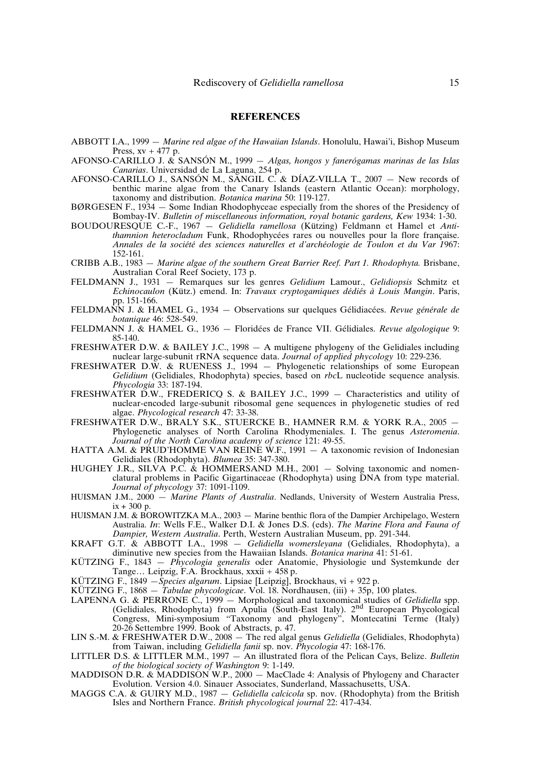#### **REFERENCES**

- ABBOTT I.A., 1999 *Marine red algae of the Hawaiian Islands*. Honolulu, Hawai'i, Bishop Museum Press,  $xy + 477$  p.
- AFONSO-CARILLO J. & SANSÓN M., 1999 *Algas, hongos y fanerógamas marinas de las Islas Canarias*. Universidad de La Laguna, 254 p.
- AFONSO-CARILLO J., SANSÓN M., SANGIL C. & DÍAZ-VILLA T., 2007 New records of benthic marine algae from the Canary Islands (eastern Atlantic Ocean): morphology, taxonomy and distribution. *Botanica marina* 50: 119-127.
- BØRGESEN F., 1934 Some Indian Rhodophyceae especially from the shores of the Presidency of Bombay-IV. *Bulletin of miscellaneous information, royal botanic gardens, Kew* 1934: 1-30.
- BOUDOURESQUE C.-F., 1967 *Gelidiella ramellosa* (Kützing) Feldmann et Hamel et *Antithamnion heterocladum* Funk, Rhodophycées rares ou nouvelles pour la flore française. *Annales de la société des sciences naturelles et d'archéologie de Toulon et du Var 1*967: 152-161.
- CRIBB A.B., 1983 *Marine algae of the southern Great Barrier Reef. Part 1. Rhodophyta.* Brisbane, Australian Coral Reef Society, 173 p.
- FELDMANN J., 1931 Remarques sur les genres *Gelidium* Lamour., *Gelidiopsis* Schmitz et *Echinocaulon* (Kütz.) emend. In: *Travaux cryptogamiques dédiés à Louis Mangin*. Paris, pp. 151-166.
- FELDMANN J. & HAMEL G., 1934 Observations sur quelques Gélidiacées. *Revue générale de botanique* 46: 528-549.
- FELDMANN J. & HAMEL G., 1936 Floridées de France VII. Gélidiales. *Revue algologique* 9: 85-140.
- FRESHWATER D.W. & BAILEY J.C., 1998 A multigene phylogeny of the Gelidiales including nuclear large-subunit rRNA sequence data. *Journal of applied phycology* 10: 229-236.
- FRESHWATER D.W. & RUENESS J., 1994 Phylogenetic relationships of some European *Gelidium* (Gelidiales, Rhodophyta) species, based on *rbc*L nucleotide sequence analysis. *Phycologia* 33: 187-194.
- FRESHWATER D.W., FREDERICO S. & BAILEY J.C., 1999  $-$  Characteristics and utility of nuclear-encoded large-subunit ribosomal gene sequences in phylogenetic studies of red algae. *Phycological research* 47: 33-38.
- FRESHWATER D.W., BRALY S.K., STUERCKE B., HAMNER R.M. & YORK R.A., 2005 Phylogenetic analyses of North Carolina Rhodymeniales. I. The genus *Asteromenia*. *Journal of the North Carolina academy of science* 121: 49-55.
- HATTA A.M. & PRUD'HOMME VAN REINE W.F., 1991 A taxonomic revision of Indonesian Gelidiales (Rhodophyta). *Blumea* 35: 347-380.
- HUGHEY J.R., SILVA P.C. & HOMMERSAND M.H., 2001 Solving taxonomic and nomenclatural problems in Pacific Gigartinaceae (Rhodophyta) using DNA from type material. *Journal of phycology* 37: 1091-1109.
- HUISMAN J.M., 2000 *Marine Plants of Australia*. Nedlands, University of Western Australia Press,  $ix + 300 p.$
- HUISMAN J.M. & BOROWITZKA M.A., 2003 Marine benthic flora of the Dampier Archipelago, Western Australia. *In*: Wells F.E., Walker D.I. & Jones D.S. (eds). *The Marine Flora and Fauna of Dampier, Western Australia*. Perth, Western Australian Museum, pp. 291-344.
- KRAFT G.T. & ABBOTT I.A., 1998 *Gelidiella womersleyana* (Gelidiales, Rhodophyta), a diminutive new species from the Hawaiian Islands. *Botanica marina* 41: 51-61.
- KÜTZING F., 1843 *Phycologia generalis* oder Anatomie, Physiologie und Systemkunde der Tange… Leipzig, F.A. Brockhaus, xxxii + 458 p.
- KÜTZING F., 1849 —*Species algarum*. Lipsiae [Leipzig], Brockhaus, vi + 922 p.
- KÜTZING F., 1868 *Tabulae phycologicae*. Vol. 18. Nordhausen, (iii) + 35p, 100 plates.
- LAPENNA G. & PERRONE C., 1999 Morphological and taxonomical studies of *Gelidiella* spp. (Gelidiales, Rhodophyta) from Apulia (South-East Italy). 2<sup>nd</sup> European Phycological Congress, Mini-symposium "Taxonomy and phylogeny", Montecatini Terme (Italy) 20-26 Settembre 1999. Book of Abstracts, p. 47.
- LIN S.-M. & FRESHWATER D.W., 2008 The red algal genus *Gelidiella* (Gelidiales, Rhodophyta) from Taiwan, including *Gelidiella fanii* sp. nov. *Phycologia* 47: 168-176.
- LITTLER D.S. & LITTLER M.M., 1997 An illustrated flora of the Pelican Cays, Belize. *Bulletin of the biological society of Washington* 9: 1-149.
- MADDISON D.R. & MADDISON W.P., 2000 MacClade 4: Analysis of Phylogeny and Character Evolution. Version 4.0. Sinauer Associates, Sunderland, Massachusetts, USA.
- MAGGS C.A. & GUIRY M.D., 1987 *Gelidiella calcicola* sp. nov. (Rhodophyta) from the British Isles and Northern France. *British phycological journal* 22: 417-434.